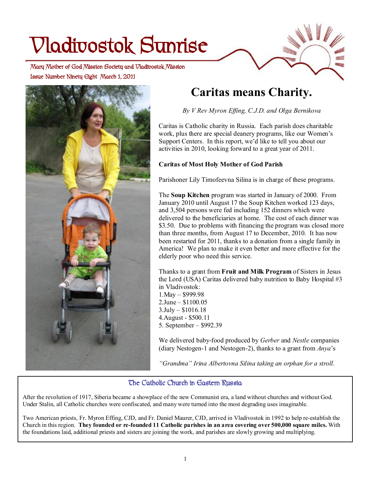# **Vladivostok Sunrise**

 **Issue Number Ninety Eight March 1, 2011 Mary Mother of God Mission Society and Vladivostok Mission** 



# **Caritas means Charity.**

*By V Rev Myron Effing, C.J.D. and Olga Bernikova* 

Caritas is Catholic charity in Russia. Each parish does charitable work, plus there are special deanery programs, like our Women's Support Centers. In this report, we'd like to tell you about our activities in 2010, looking forward to a great year of 2011.

## **Caritas of Most Holy Mother of God Parish**

Parishoner Lily Timofeevna Silina is in charge of these programs.

The **Soup Kitchen** program was started in January of 2000. From January 2010 until August 17 the Soup Kitchen worked 123 days, and 3,504 persons were fed including 152 dinners which were delivered to the beneficiaries at home. The cost of each dinner was \$3.50. Due to problems with financing the program was closed more than three months, from August 17 to December, 2010. It has now been restarted for 2011, thanks to a donation from a single family in America! We plan to make it even better and more effective for the elderly poor who need this service.

Thanks to a grant from **Fruit and Milk Program** of Sisters in Jesus the Lord (USA) Caritas delivered baby nutrition to Baby Hospital #3 in Vladivostok:

1.May – \$999.98 2.June – \$1100.05 3.July – \$1016.18 4.August - \$500.11 5. September – \$992.39

We delivered baby-food produced by *Gerber* and *Nestle* companies (diary Nestogen-1 and Nestogen-2), thanks to a grant from *Anya*'s

*"Grandma" Irina Albertovna Silina taking an orphan for a stroll.* 

## **The Catholic Church in Eastern Russia**

After the revolution of 1917, Siberia became a showplace of the new Communist era, a land without churches and without God. Under Stalin, all Catholic churches were confiscated, and many were turned into the most degrading uses imaginable.

Two American priests, Fr. Myron Effing, CJD, and Fr. Daniel Maurer, CJD, arrived in Vladivostok in 1992 to help re-establish the Church in this region. They founded or re-founded 11 Catholic parishes in an area covering over 500,000 square miles. With the foundations laid, additional priests and sisters are joining the work, and parishes are slowly growing and multiplying.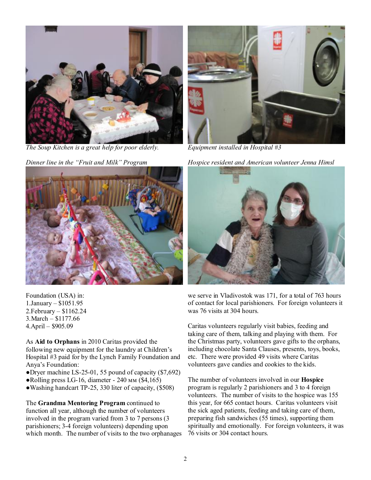

*The Soup Kitchen is a great help for poor elderly.* 

*Dinner line in the "Fruit and Milk" Program* 



Foundation (USA) in: 1.January – \$1051.95 2.February – \$1162.24 3.March – \$1177.66 4.April – \$905.09

As **Aid to Orphans** in 2010 Caritas provided the following new equipment for the laundry at Children's Hospital #3 paid for by the Lynch Family Foundation and Anya's Foundation:

- ●Dryer machine LS-25-01, 55 pound of capacity (\$7,692)
- Rolling press LG-16, diameter 240 мм (\$4,165)
- ●Washing handcart TP-25, 330 liter of capacity, (\$508)

The **Grandma Mentoring Program** continued to function all year, although the number of volunteers involved in the program varied from 3 to 7 persons (3 parishioners; 3-4 foreign volunteers) depending upon which month. The number of visits to the two orphanages



*Equipment installed in Hospital #3* 

*Hospice resident and American volunteer Jenna Himsl* 



we serve in Vladivostok was 171, for a total of 763 hours of contact for local parishioners. For foreign volunteers it was 76 visits at 304 hours.

Caritas volunteers regularly visit babies, feeding and taking care of them, talking and playing with them. For the Christmas party, volunteers gave gifts to the orphans, including chocolate Santa Clauses, presents, toys, books, etc. There were provided 49 visits where Caritas volunteers gave candies and cookies to the kids.

The number of volunteers involved in our **Hospice**  program is regularly 2 parishioners and 3 to 4 foreign volunteers. The number of visits to the hospice was 155 this year, for 665 contact hours. Caritas volunteers visit the sick aged patients, feeding and taking care of them, preparing fish sandwiches (55 times), supporting them spiritually and emotionally. For foreign volunteers, it was 76 visits or 304 contact hours.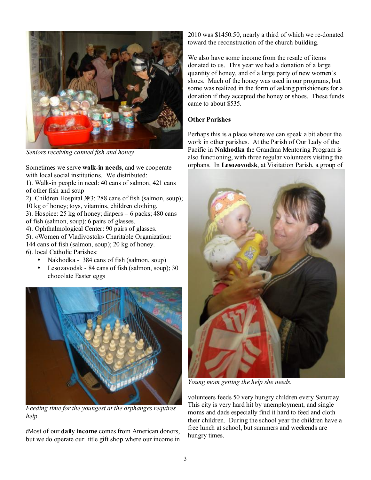

*Seniors receiving canned fish and honey* 

Sometimes we serve **walk-in needs**, and we cooperate with local social institutions. We distributed:

1). Walk-in people in need: 40 cans of salmon, 421 cans of other fish and soup

2). Children Hospital №3: 288 cans of fish (salmon, soup); 10 kg of honey; toys, vitamins, children clothing.

3). Hospice: 25 kg of honey; diapers – 6 packs; 480 cans of fish (salmon, soup); 6 pairs of glasses.

4). Ophthalmological Center: 90 pairs of glasses.

5). «Women of Vladivostok» Charitable Organization:

144 cans of fish (salmon, soup); 20 kg of honey.

- 6). local Catholic Parishes:
	- Nakhodka 384 cans of fish (salmon, soup)
	- Lesozavodsk 84 cans of fish (salmon, soup); 30 chocolate Easter eggs



*Feeding time for the youngest at the orphanges requires help.* 

*t*Most of our **daily income** comes from American donors, but we do operate our little gift shop where our income in 2010 was \$1450.50, nearly a third of which we re-donated toward the reconstruction of the church building.

We also have some income from the resale of items donated to us. This year we had a donation of a large quantity of honey, and of a large party of new women's shoes. Much of the honey was used in our programs, but some was realized in the form of asking parishioners for a donation if they accepted the honey or shoes. These funds came to about \$535.

### **Other Parishes**

Perhaps this is a place where we can speak a bit about the work in other parishes. At the Parish of Our Lady of the Pacific in **Nakhodka** the Grandma Mentoring Program is also functioning, with three regular volunteers visiting the orphans. In **Lesozovodsk**, at Visitation Parish, a group of



*Young mom getting the help she needs.* 

volunteers feeds 50 very hungry children every Saturday. This city is very hard hit by unemployment, and single moms and dads especially find it hard to feed and cloth their children. During the school year the children have a free lunch at school, but summers and weekends are hungry times.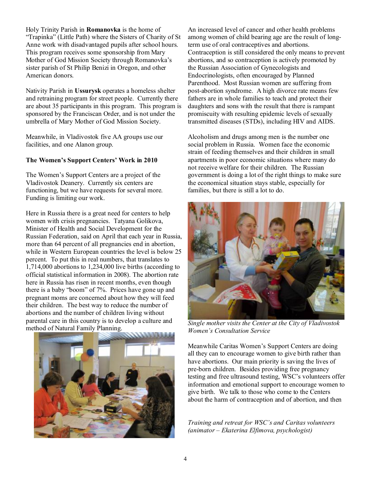Holy Trinity Parish in **Romanovka** is the home of "Trapinka" (Little Path) where the Sisters of Charity of St Anne work with disadvantaged pupils after school hours. This program receives some sponsorship from Mary Mother of God Mission Society through Romanovka's sister parish of St Philip Benizi in Oregon, and other American donors.

Nativity Parish in **Ussurysk** operates a homeless shelter and retraining program for street people. Currently there are about 35 participants in this program. This program is sponsored by the Franciscan Order, and is not under the umbrella of Mary Mother of God Mission Society.

Meanwhile, in Vladivostok five AA groups use our facilities, and one Alanon group.

#### **The Women's Support Centers' Work in 2010**

The Women's Support Centers are a project of the Vladivostok Deanery. Currently six centers are functioning, but we have requests for several more. Funding is limiting our work.

Here in Russia there is a great need for centers to help women with crisis pregnancies. Tatyana Golikova, Minister of Health and Social Development for the Russian Federation, said on April that each year in Russia, more than 64 percent of all pregnancies end in abortion, while in Western European countries the level is below 25 percent. To put this in real numbers, that translates to 1,714,000 abortions to 1,234,000 live births (according to official statistical information in 2008). The abortion rate here in Russia has risen in recent months, even though there is a baby "boom" of 7%. Prices have gone up and pregnant moms are concerned about how they will feed their children. The best way to reduce the number of abortions and the number of children living without parental care in this country is to develop a culture and method of Natural Family Planning.



An increased level of cancer and other health problems among women of child bearing age are the result of longterm use of oral contraceptives and abortions. Contraception is still considered the only means to prevent abortions, and so contraception is actively promoted by the Russian Association of Gynecologists and Endocrinologists, often encouraged by Planned Parenthood. Most Russian women are suffering from post-abortion syndrome. A high divorce rate means few fathers are in whole families to teach and protect their daughters and sons with the result that there is rampant promiscuity with resulting epidemic levels of sexually transmitted diseases (STDs), including HIV and AIDS.

Alcoholism and drugs among men is the number one social problem in Russia. Women face the economic strain of feeding themselves and their children in small apartments in poor economic situations where many do not receive welfare for their children. The Russian government is doing a lot of the right things to make sure the economical situation stays stable, especially for families, but there is still a lot to do.



*Single mother visits the Center at the City of Vladivostok Women's Consultation Service* 

Meanwhile Caritas Women's Support Centers are doing all they can to encourage women to give birth rather than have abortions. Our main priority is saving the lives of pre-born children. Besides providing free pregnancy testing and free ultrasound testing, WSC's volunteers offer information and emotional support to encourage women to give birth. We talk to those who come to the Centers about the harm of contraception and of abortion, and then

*Training and retreat for WSC's and Caritas volunteers (animator – Ekaterina Elfimova, psychologist)*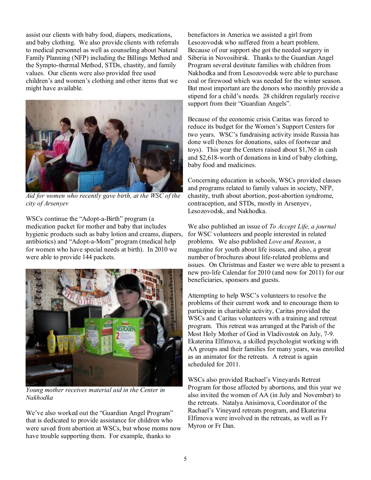assist our clients with baby food, diapers, medications, and baby clothing. We also provide clients with referrals to medical personnel as well as counseling about Natural Family Planning (NFP) including the Billings Method and the Sympto-thermal Method, STDs, chastity, and family values. Our clients were also provided free used children's and women's clothing and other items that we might have available.



*Aid for women who recently gave birth, at the WSC of the city of Arsenyev* 

WSCs continue the "Adopt-a-Birth" program (a medication packet for mother and baby that includes hygienic products such as baby lotion and creams, diapers, antibiotics) and "Adopt-a-Mom" program (medical help for women who have special needs at birth). In 2010 we were able to provide 144 packets.



*Young mother receives material aid in the Center in Nakhodka* 

We've also worked out the "Guardian Angel Program" that is dedicated to provide assistance for children who were saved from abortion at WSCs, but whose moms now have trouble supporting them. For example, thanks to

benefactors in America we assisted a girl from Lesozovodsk who suffered from a heart problem. Because of our support she got the needed surgery in Siberia in Novosibirsk. Thanks to the Guardian Angel Program several destitute families with children from Nakhodka and from Lesozovodsk were able to purchase coal or firewood which was needed for the winter season. But most important are the donors who monthly provide a stipend for a child's needs. 28 children regularly receive support from their "Guardian Angels".

Because of the economic crisis Caritas was forced to reduce its budget for the Women's Support Centers for two years. WSC's fundraising activity inside Russia has done well (boxes for donations, sales of footwear and toys). This year the Centers raised about \$1,765 in cash and \$2,618-worth of donations in kind of baby clothing, baby food and medicines.

Concerning education in schools, WSCs provided classes and programs related to family values in society, NFP, chastity, truth about abortion, post-abortion syndrome, contraception, and STDs, mostly in Arsenyev, Lesozovodsk, and Nakhodka.

We also published an issue of *To Accept Life, a journal*  for WSC volunteers and people interested in related problems. We also published *Love and Reason*, a magazine for youth about life issues, and also, a great number of brochures about life-related problems and issues. On Christmas and Easter we were able to present a new pro-life Calendar for 2010 (and now for 2011) for our beneficiaries, sponsors and guests.

Attempting to help WSC's volunteers to resolve the problems of their current work and to encourage them to participate in charitable activity, Caritas provided the WSCs and Caritas volunteers with a training and retreat program. This retreat was arranged at the Parish of the Most Holy Mother of God in Vladivostok on July, 7-9. Ekaterina Elfimova, a skilled psychologist working with AA groups and their families for many years, was enrolled as an animator for the retreats. A retreat is again scheduled for 2011.

WSCs also provided Rachael's Vineyards Retreat Program for those affected by abortions, and this year we also invited the women of AA (in July and November) to the retreats. Natalya Anisimova, Coordinator of the Rachael's Vineyard retreats program, and Ekaterina Elfimova were involved in the retreats, as well as Fr Myron or Fr Dan.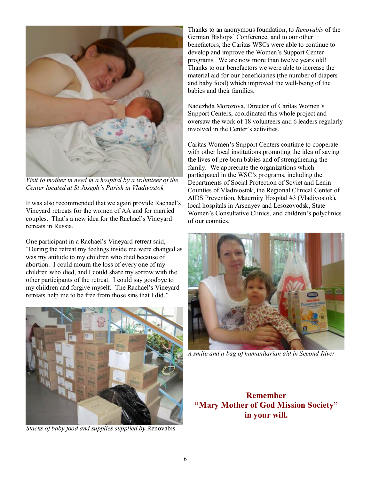

*Visit to mother in need in a hospital by a volunteer of the Center located at St Joseph's Parish in Vladivostok* 

It was also recommended that we again provide Rachael's Vineyard retreats for the women of AA and for married couples. That's a new idea for the Rachael's Vineyard retreats in Russia.

One participant in a Rachael's Vineyard retreat said, "During the retreat my feelings inside me were changed as was my attitude to my children who died because of abortion. I could mourn the loss of every one of my children who died, and I could share my sorrow with the other participants of the retreat. I could say goodbye to my children and forgive myself. The Rachael's Vineyard retreats help me to be free from those sins that I did."



*Stacks of baby food and supplies supplied by* Renovabis

Thanks to an anonymous foundation, to *Renovabis* of the German Bishops' Conference, and to our other benefactors, the Caritas WSCs were able to continue to develop and improve the Women's Support Center programs. We are now more than twelve years old! Thanks to our benefactors we were able to increase the material aid for our beneficiaries (the number of diapers and baby food) which improved the well-being of the babies and their families.

Nadezhda Morozova, Director of Caritas Women's Support Centers, coordinated this whole project and oversaw the work of 18 volunteers and 6 leaders regularly involved in the Center's activities.

Caritas Women's Support Centers continue to cooperate with other local institutions promoting the idea of saving the lives of pre-born babies and of strengthening the family. We appreciate the organizations which participated in the WSC's programs, including the Departments of Social Protection of Soviet and Lenin Counties of Vladivostok, the Regional Clinical Center of AIDS Prevention, Maternity Hospital #3 (Vladivostok), local hospitals in Arsenyev and Lesozovodsk, State Women's Consultative Clinics, and children's polyclinics of our counties.



*A smile and a bag of humanitarian aid in Second River* 

**Remember "Mary Mother of God Mission Society" in your will.**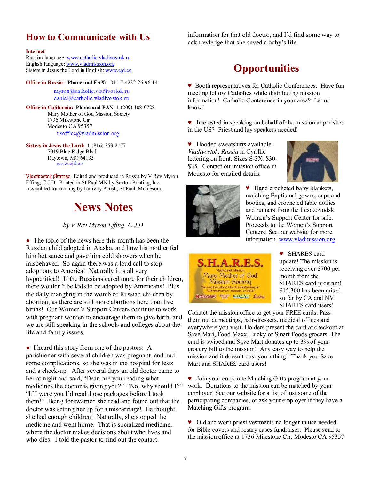## **How to Communicate with Us**

#### **Internet**

Russian language: [www.catholic.vladivostok.ru](http://www.catholic.vladivostok.ru) English language: [www.vladmission.org](http://www.vladmission.org) Sisters in Jesus the Lord in English: [www.cjd.cc](http://www.cjd.cc)

**Office in Russia: Phone and FAX:** 011-7-4232-26-96-14 myron@catholic.vladivostok.ru daniel@eatholic.vladivostok.ru

**Office in California: Phone and FAX:** 1-(209) 408-0728 Mary Mother of God Mission Society 1736 Milestone Cir Modesto CA 95357 usoffice@vladmission.org

**Sisters in Jesus the Lord:** 1-(816) 353-2177 7049 Blue Ridge Blvd Raytown, MO 64133

**Vladivostok Sunrise** Edited and produced in Russia by V Rev Myron Effing, C.J.D. Printed in St Paul MN by Sexton Printing, Inc. Assembled for mailing by Nativity Parish, St Paul, Minnesota.

# **News Notes**

*by V Rev Myron Effing, C.J.D* 

• The topic of the news here this month has been the Russian child adopted in Alaska, and how his mother fed him hot sauce and gave him cold showers when he misbehaved. So again there was a loud call to stop adoptions to America! Naturally it is all very hypocritical! If the Russians cared more for their children, there wouldn't be kids to be adopted by Americans! Plus the daily mangling in the womb of Russian children by abortion, as there are still more abortions here than live births! Our Women's Support Centers continue to work with pregnant women to encourage them to give birth, and we are still speaking in the schools and colleges about the life and family issues.

• I heard this story from one of the pastors: A parishioner with several children was pregnant, and had some complications, so she was in the hospital for tests and a check-up. After several days an old doctor came to her at night and said, "Dear, are you reading what medicines the doctor is giving you?" "No, why should I?" "If I were you I'd read those packages before I took them!" Being forewarned she read and found out that the doctor was setting her up for a miscarriage! He thought she had enough children! Naturally, she stopped the medicine and went home. That is socialized medicine, where the doctor makes decisions about who lives and who dies. I told the pastor to find out the contact

information for that old doctor, and I'd find some way to acknowledge that she saved a baby's life.

# **Opportunities**

♥ Booth representatives for Catholic Conferences. Have fun meeting fellow Catholics while distributing mission information! Catholic Conference in your area? Let us know!

♥ Interested in speaking on behalf of the mission at parishes in the US? Priest and lay speakers needed!

♥ Hooded sweatshirts available. *Vladivostok, Russia* in Cyrillic lettering on front. Sizes S-3X. \$30- \$35. Contact our mission office in Modesto for emailed details.





♥ Hand crocheted baby blankets, matching Baptismal gowns, caps and booties, and crocheted table doilies and runners from the Lesozovodsk Women's Support Center for sale. Proceeds to the Women's Support Centers. See our website for more information. [www.vladmission.org](http://www.vladmission.org)



♥ SHARES card update! The mission is receiving over \$700 per month from the SHARES card program! \$15,300 has been raised so far by CA and NV SHARES card users!

Contact the mission office to get your FREE cards. Pass them out at meetings, hair-dressers, medical offices and everywhere you visit. Holders present the card at checkout at Save Mart, Food Maxx, Lucky or Smart Foods grocers. The card is swiped and Save Mart donates up to 3% of your grocery bill to the mission! Any easy way to help the mission and it doesn't cost you a thing! Thank you Save Mart and SHARES card users!

♥ Join your corporate Matching Gifts program at your work. Donations to the mission can be matched by your employer! See our website for a list of just some of the participating companies, or ask your employer if they have a Matching Gifts program.

♥ Old and worn priest vestments no longer in use needed for Bible covers and rosary cases fundraiser. Please send to the mission office at 1736 Milestone Cir. Modesto CA 95357